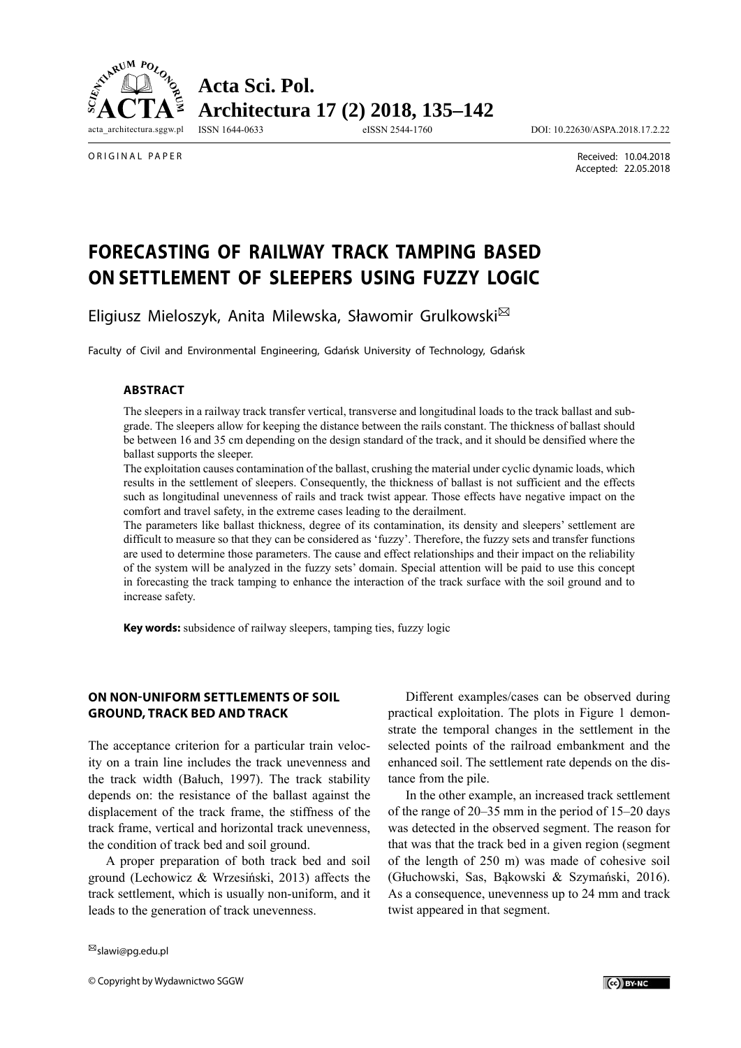

**Acta Sci. Pol. Architectura 17 (2) 2018, 135–142**

ISSN 1644-0633 eISSN 2544-1760 DOI: 10.22630/ASPA.2018.17.2.22

ORIGINAL PAPER

 Received: 10.04.2018 Accepted: 22.05.2018

# **FORECASTING OF RAILWAY TRACK TAMPING BASED ON SETTLEMENT OF SLEEPERS USING FUZZY LOGIC**

Eligiusz Mieloszyk, Anita Milewska, Sławomir Grulkowski

Faculty of Civil and Environmental Engineering, Gdańsk University of Technology, Gdańsk

#### **ABSTRACT**

The sleepers in a railway track transfer vertical, transverse and longitudinal loads to the track ballast and subgrade. The sleepers allow for keeping the distance between the rails constant. The thickness of ballast should be between 16 and 35 cm depending on the design standard of the track, and it should be densified where the ballast supports the sleeper.

The exploitation causes contamination of the ballast, crushing the material under cyclic dynamic loads, which results in the settlement of sleepers. Consequently, the thickness of ballast is not sufficient and the effects such as longitudinal unevenness of rails and track twist appear. Those effects have negative impact on the comfort and travel safety, in the extreme cases leading to the derailment.

The parameters like ballast thickness, degree of its contamination, its density and sleepers' settlement are difficult to measure so that they can be considered as 'fuzzy'. Therefore, the fuzzy sets and transfer functions are used to determine those parameters. The cause and effect relationships and their impact on the reliability of the system will be analyzed in the fuzzy sets' domain. Special attention will be paid to use this concept in forecasting the track tamping to enhance the interaction of the track surface with the soil ground and to increase safety.

**Key words:** subsidence of railway sleepers, tamping ties, fuzzy logic

## **ON NON-UNIFORM SETTLEMENTS OF SOIL GROUND, TRACK BED AND TRACK**

The acceptance criterion for a particular train velocity on a train line includes the track unevenness and the track width (Bałuch, 1997). The track stability depends on: the resistance of the ballast against the displacement of the track frame, the stiffness of the track frame, vertical and horizontal track unevenness, the condition of track bed and soil ground.

A proper preparation of both track bed and soil ground (Lechowicz & Wrzesiński, 2013) affects the track settlement, which is usually non-uniform, and it leads to the generation of track unevenness.

Different examples/cases can be observed during practical exploitation. The plots in Figure 1 demonstrate the temporal changes in the settlement in the selected points of the railroad embankment and the enhanced soil. The settlement rate depends on the distance from the pile.

In the other example, an increased track settlement of the range of 20–35 mm in the period of 15–20 days was detected in the observed segment. The reason for that was that the track bed in a given region (segment of the length of 250 m) was made of cohesive soil (Głuchowski, Sas, Bąkowski & Szymański, 2016). As a consequence, unevenness up to 24 mm and track twist appeared in that segment.

slawi@pg.edu.pl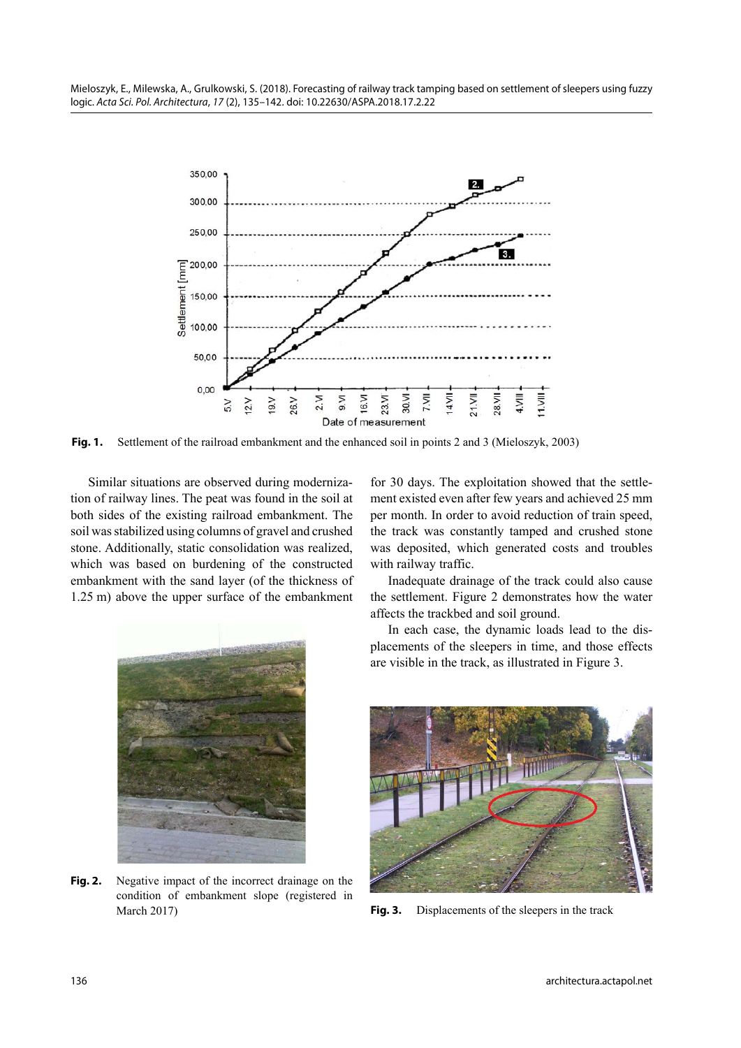

Fig. 1. Settlement of the railroad embankment and the enhanced soil in points 2 and 3 (Mieloszyk, 2003)

Similar situations are observed during modernization of railway lines. The peat was found in the soil at both sides of the existing railroad embankment. The soil was stabilized using columns of gravel and crushed stone. Additionally, static consolidation was realized, which was based on burdening of the constructed embankment with the sand layer (of the thickness of 1.25 m) above the upper surface of the embankment



**Fig. 2.** Negative impact of the incorrect drainage on the condition of embankment slope (registered in March 2017) **Fig. 3.** Displacements of the sleepers in the track

for 30 days. The exploitation showed that the settlement existed even after few years and achieved 25 mm per month. In order to avoid reduction of train speed, the track was constantly tamped and crushed stone was deposited, which generated costs and troubles with railway traffic.

Inadequate drainage of the track could also cause the settlement. Figure 2 demonstrates how the water affects the trackbed and soil ground.

In each case, the dynamic loads lead to the displacements of the sleepers in time, and those effects are visible in the track, as illustrated in Figure 3.

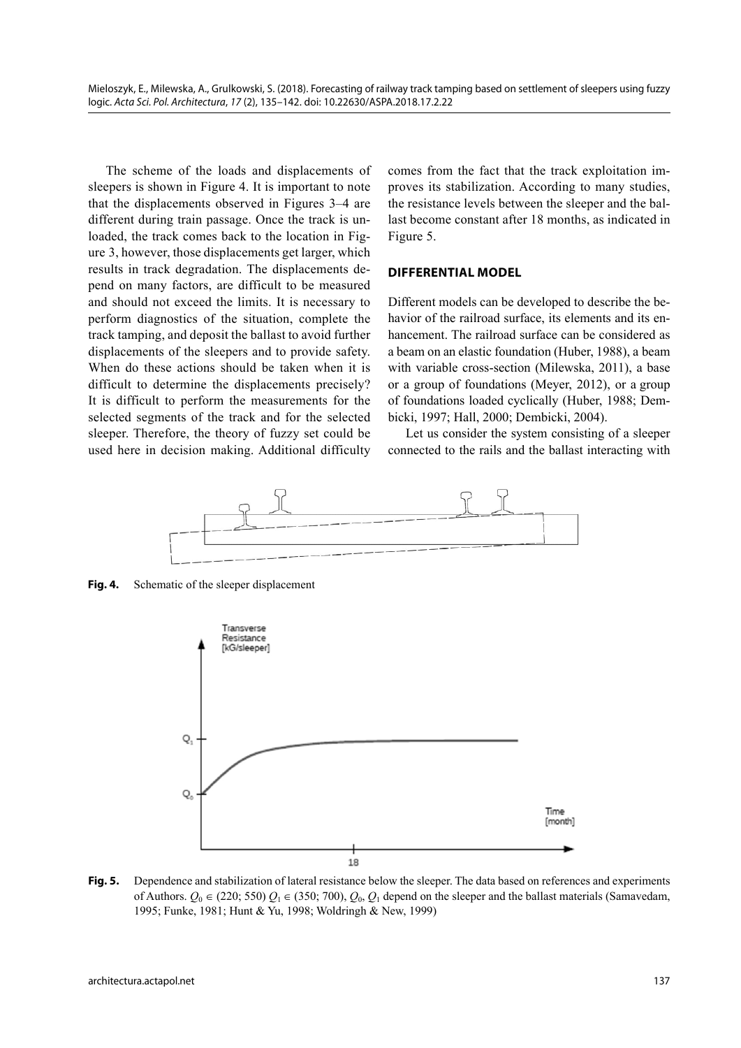The scheme of the loads and displacements of sleepers is shown in Figure 4. It is important to note that the displacements observed in Figures 3–4 are different during train passage. Once the track is unloaded, the track comes back to the location in Figure 3, however, those displacements get larger, which results in track degradation. The displacements depend on many factors, are difficult to be measured and should not exceed the limits. It is necessary to perform diagnostics of the situation, complete the track tamping, and deposit the ballast to avoid further displacements of the sleepers and to provide safety. When do these actions should be taken when it is difficult to determine the displacements precisely? It is difficult to perform the measurements for the selected segments of the track and for the selected sleeper. Therefore, the theory of fuzzy set could be used here in decision making. Additional difficulty comes from the fact that the track exploitation improves its stabilization. According to many studies, the resistance levels between the sleeper and the ballast become constant after 18 months, as indicated in Figure 5.

#### **DIFFERENTIAL MODEL**

Different models can be developed to describe the behavior of the railroad surface, its elements and its enhancement. The railroad surface can be considered as a beam on an elastic foundation (Huber, 1988), a beam with variable cross-section (Milewska, 2011), a base or a group of foundations (Meyer, 2012), or a group of foundations loaded cyclically (Huber, 1988; Dembicki, 1997; Hall, 2000; Dembicki, 2004).

Let us consider the system consisting of a sleeper connected to the rails and the ballast interacting with



**Fig. 4.** Schematic of the sleeper displacement



**Fig. 5.** Dependence and stabilization of lateral resistance below the sleeper. The data based on references and experiments of Authors.  $Q_0 \in (220, 550)$   $Q_1 \in (350, 700)$ ,  $Q_0$ ,  $Q_1$  depend on the sleeper and the ballast materials (Samavedam, 1995; Funke, 1981; Hunt & Yu, 1998; Woldringh & New, 1999)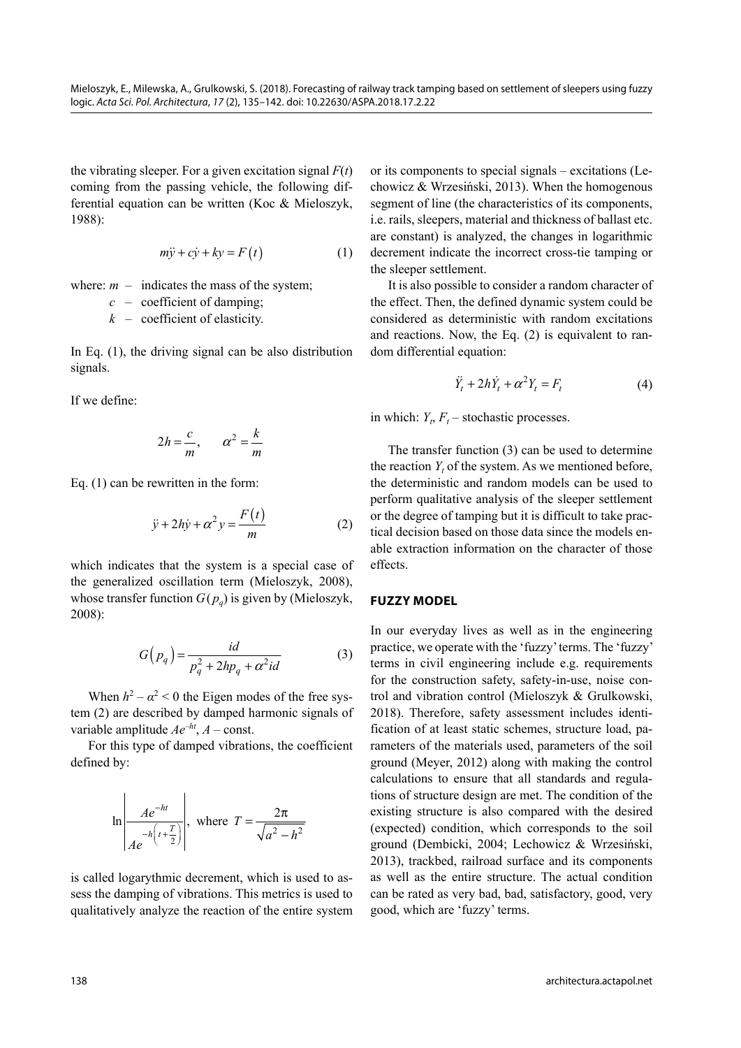the vibrating sleeper. For a given excitation signal  $F(t)$ coming from the passing vehicle, the following differential equation can be written (Koc & Mieloszyk, 1988):

$$
m\ddot{y} + c\dot{y} + ky = F(t)
$$
 (1)

where:  $m -$  indicates the mass of the system;

*c* – coefficient of damping;

*k* – coefficient of elasticity.

In Eq. (1), the driving signal can be also distribution signals.

If we define:

$$
2h = \frac{c}{m}, \qquad \alpha^2 = \frac{k}{m}
$$

Eq. (1) can be rewritten in the form:

$$
\ddot{y} + 2h\dot{y} + \alpha^2 y = \frac{F(t)}{m}
$$
 (2)

which indicates that the system is a special case of the generalized oscillation term (Mieloszyk, 2008), whose transfer function  $G(p_q)$  is given by (Mieloszyk, 2008):

$$
G(p_q) = \frac{id}{p_q^2 + 2hp_q + \alpha^2 id}
$$
 (3)

When  $h^2 - \alpha^2 < 0$  the Eigen modes of the free system (2) are described by damped harmonic signals of variable amplitude  $Ae^{-ht}$ ,  $A$  – const.

For this type of damped vibrations, the coefficient defined by:

$$
\ln \left| \frac{Ae^{-ht}}{Ae^{-h\left(t + \frac{T}{2}\right)}} \right|, \text{ where } T = \frac{2\pi}{\sqrt{a^2 - h^2}}
$$

is called logarythmic decrement, which is used to assess the damping of vibrations. This metrics is used to qualitatively analyze the reaction of the entire system or its components to special signals – excitations (Lechowicz & Wrzesiński, 2013). When the homogenous segment of line (the characteristics of its components, i.e. rails, sleepers, material and thickness of ballast etc. are constant) is analyzed, the changes in logarithmic decrement indicate the incorrect cross-tie tamping or the sleeper settlement.

It is also possible to consider a random character of the effect. Then, the defined dynamic system could be considered as deterministic with random excitations and reactions. Now, the Eq. (2) is equivalent to random differential equation:

$$
\ddot{Y}_t + 2h\dot{Y}_t + \alpha^2 Y_t = F_t \tag{4}
$$

in which:  $Y_t$ ,  $F_t$  – stochastic processes.

The transfer function (3) can be used to determine the reaction  $Y_t$  of the system. As we mentioned before, the deterministic and random models can be used to perform qualitative analysis of the sleeper settlement or the degree of tamping but it is difficult to take practical decision based on those data since the models enable extraction information on the character of those effects.

## **FUZZY MODEL**

In our everyday lives as well as in the engineering practice, we operate with the 'fuzzy' terms. The 'fuzzy' terms in civil engineering include e.g. requirements for the construction safety, safety-in-use, noise control and vibration control (Mieloszyk & Grulkowski, 2018). Therefore, safety assessment includes identification of at least static schemes, structure load, parameters of the materials used, parameters of the soil ground (Meyer, 2012) along with making the control calculations to ensure that all standards and regulations of structure design are met. The condition of the existing structure is also compared with the desired (expected) condition, which corresponds to the soil ground (Dembicki, 2004; Lechowicz & Wrzesiński, 2013), trackbed, railroad surface and its components as well as the entire structure. The actual condition can be rated as very bad, bad, satisfactory, good, very good, which are 'fuzzy' terms.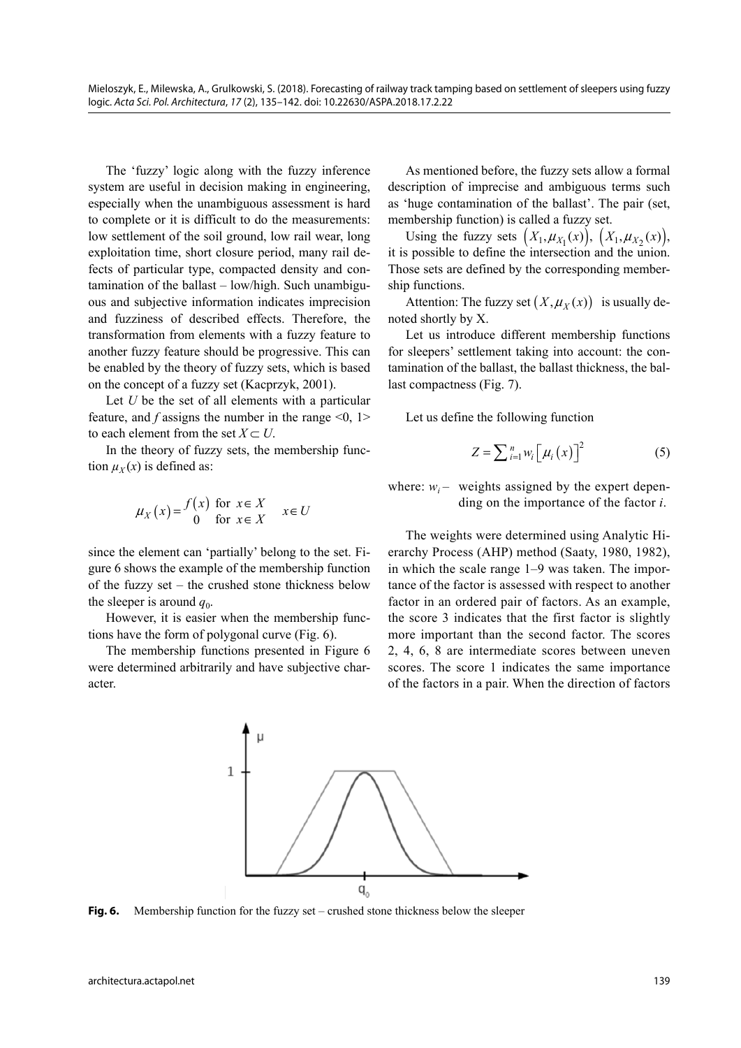The 'fuzzy' logic along with the fuzzy inference system are useful in decision making in engineering, especially when the unambiguous assessment is hard to complete or it is difficult to do the measurements: low settlement of the soil ground, low rail wear, long exploitation time, short closure period, many rail defects of particular type, compacted density and contamination of the ballast – low/high. Such unambiguous and subjective information indicates imprecision and fuzziness of described effects. Therefore, the transformation from elements with a fuzzy feature to another fuzzy feature should be progressive. This can be enabled by the theory of fuzzy sets, which is based on the concept of a fuzzy set (Kacprzyk, 2001).

Let *U* be the set of all elements with a particular feature, and  $f$  assigns the number in the range  $\leq 0$ , 1> to each element from the set  $X \subset U$ .

In the theory of fuzzy sets, the membership function  $\mu_X(x)$  is defined as:

$$
\mu_X(x) = \begin{cases} f(x) & \text{for } x \in X \\ 0 & \text{for } x \in X \end{cases} \quad x \in U
$$

since the element can 'partially' belong to the set. Figure 6 shows the example of the membership function of the fuzzy set – the crushed stone thickness below the sleeper is around  $q_0$ .

However, it is easier when the membership functions have the form of polygonal curve (Fig. 6).

The membership functions presented in Figure 6 were determined arbitrarily and have subjective character.

As mentioned before, the fuzzy sets allow a formal description of imprecise and ambiguous terms such as 'huge contamination of the ballast'. The pair (set, membership function) is called a fuzzy set.

Using the fuzzy sets  $(X_1, \mu_{X_1}(x)), (X_1, \mu_{X_2}(x)),$ it is possible to define the intersection and the union. Those sets are defined by the corresponding membership functions.

Attention: The fuzzy set  $(X, \mu_X(x))$  is usually denoted shortly by X.

Let us introduce different membership functions for sleepers' settlement taking into account: the contamination of the ballast, the ballast thickness, the ballast compactness (Fig. 7).

Let us define the following function

$$
Z = \sum_{i=1}^{n} w_i \left[ \mu_i(x) \right]^2 \tag{5}
$$

where:  $w_i$  – weights assigned by the expert depending on the importance of the factor *i*.

The weights were determined using Analytic Hierarchy Process (AHP) method (Saaty, 1980, 1982), in which the scale range 1–9 was taken. The importance of the factor is assessed with respect to another factor in an ordered pair of factors. As an example, the score 3 indicates that the first factor is slightly more important than the second factor. The scores 2, 4, 6, 8 are intermediate scores between uneven scores. The score 1 indicates the same importance of the factors in a pair. When the direction of factors



**Fig. 6.** Membership function for the fuzzy set – crushed stone thickness below the sleeper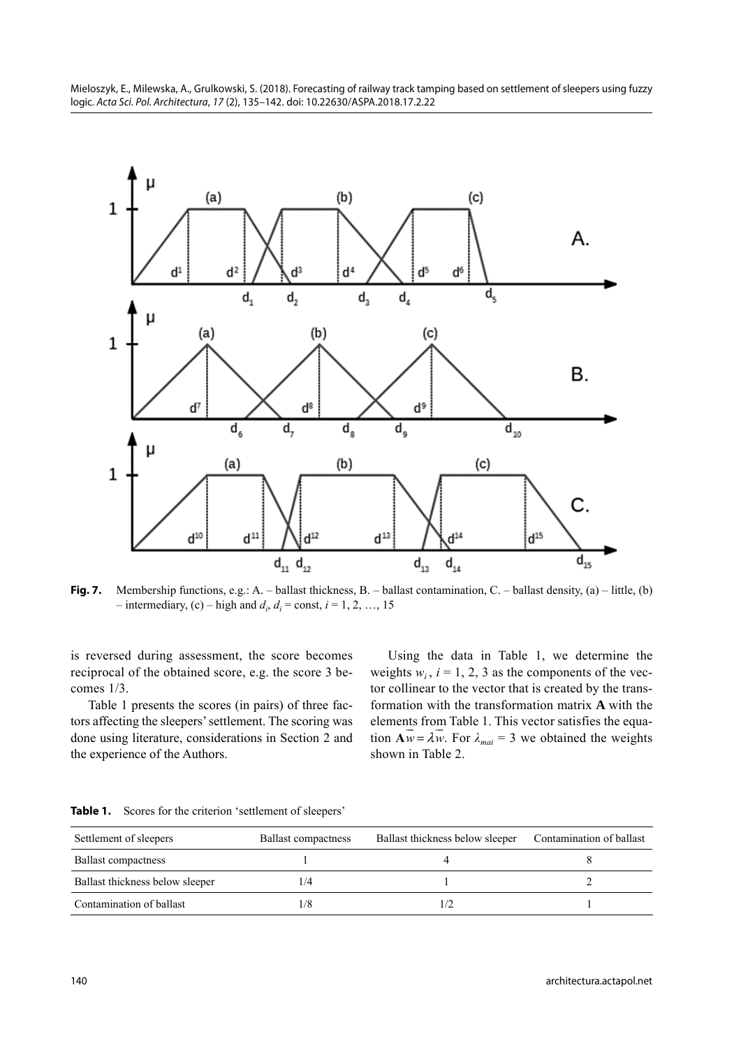Mieloszyk, E., Milewska, A., Grulkowski, S. (2018). Forecasting of railway track tamping based on settlement of sleepers using fuzzy logic. Acta Sci. Pol. Architectura, 17 (2), 135–142. doi: 10.22630/ASPA.2018.17.2.22



**Fig. 7.** Membership functions, e.g.: A. – ballast thickness, B. – ballast contamination, C. – ballast density, (a) – little, (b)  $-$  intermediary, (c)  $-$  high and  $d_i$ ,  $d_i$  = const,  $i$  = 1, 2, ..., 15

is reversed during assessment, the score becomes reciprocal of the obtained score, e.g. the score 3 becomes 1/3.

Table 1 presents the scores (in pairs) of three factors affecting the sleepers' settlement. The scoring was done using literature, considerations in Section 2 and the experience of the Authors.

Using the data in Table 1, we determine the weights  $w_i$ ,  $i = 1, 2, 3$  as the components of the vector collinear to the vector that is created by the transformation with the transformation matrix **A** with the elements from Table 1. This vector satisfies the equation  $\mathbf{A}\overline{w} = \lambda \overline{w}$ . For  $\lambda_{\text{maj}} = 3$  we obtained the weights shown in Table 2.

Table 1. Scores for the criterion 'settlement of sleepers'

| Settlement of sleepers          | <b>Ballast compactness</b> | Ballast thickness below sleeper | Contamination of ballast |
|---------------------------------|----------------------------|---------------------------------|--------------------------|
| <b>Ballast compactness</b>      |                            |                                 |                          |
| Ballast thickness below sleeper | 1/4                        |                                 |                          |
| Contamination of ballast        | 1/8                        |                                 |                          |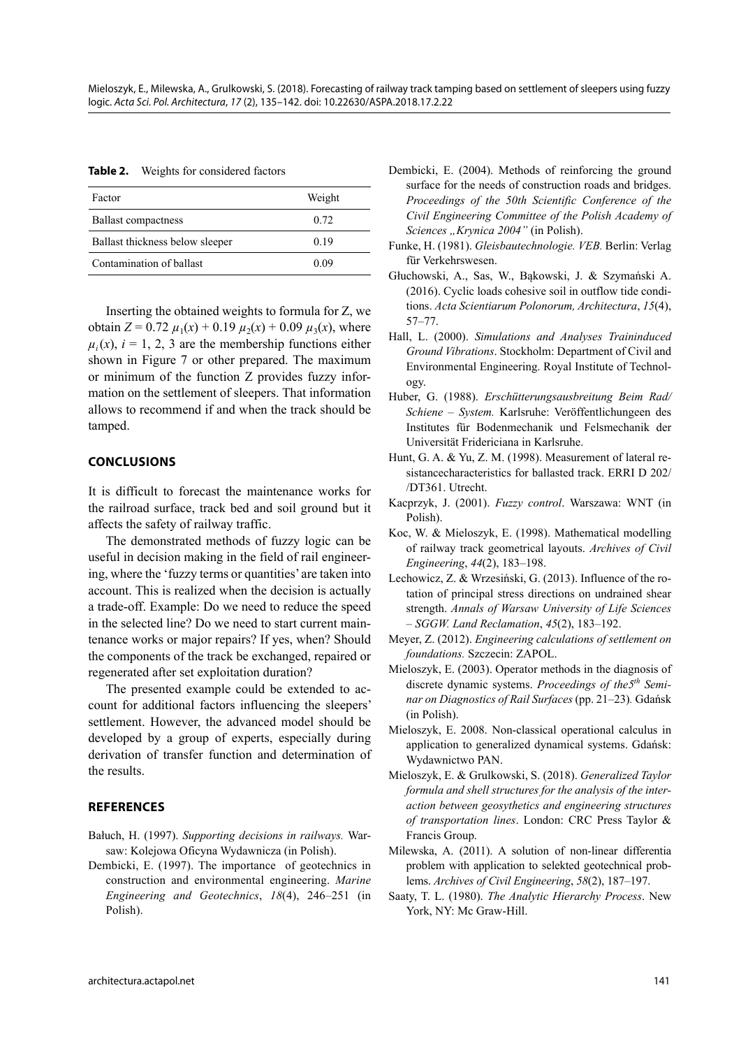**Table 2.** Weights for considered factors

| Factor                          | Weight |
|---------------------------------|--------|
| <b>Ballast compactness</b>      | 0.72   |
| Ballast thickness below sleeper | 0.19   |
| Contamination of ballast        | 0.09   |

Inserting the obtained weights to formula for Z, we obtain  $Z = 0.72 \mu_1(x) + 0.19 \mu_2(x) + 0.09 \mu_3(x)$ , where  $\mu_i(x)$ ,  $i = 1, 2, 3$  are the membership functions either shown in Figure 7 or other prepared. The maximum or minimum of the function Z provides fuzzy information on the settlement of sleepers. That information allows to recommend if and when the track should be tamped.

## **CONCLUSIONS**

It is difficult to forecast the maintenance works for the railroad surface, track bed and soil ground but it affects the safety of railway traffic.

The demonstrated methods of fuzzy logic can be useful in decision making in the field of rail engineering, where the 'fuzzy terms or quantities' are taken into account. This is realized when the decision is actually a trade-off. Example: Do we need to reduce the speed in the selected line? Do we need to start current maintenance works or major repairs? If yes, when? Should the components of the track be exchanged, repaired or regenerated after set exploitation duration?

The presented example could be extended to account for additional factors influencing the sleepers' settlement. However, the advanced model should be developed by a group of experts, especially during derivation of transfer function and determination of the results.

### **REFERENCES**

Bałuch, H. (1997). *Supporting decisions in railways.* Warsaw: Kolejowa Oficyna Wydawnicza (in Polish).

Dembicki, E. (1997). The importance of geotechnics in construction and environmental engineering. *Marine Engineering and Geotechnics*, *18*(4), 246–251 (in Polish).

- Dembicki, E. (2004). Methods of reinforcing the ground surface for the needs of construction roads and bridges. *Proceedings of the 50th Scientific Conference of the Civil Engineering Committee of the Polish Academy of Sciences "Krynica 2004"* (in Polish).
- Funke, H. (1981). *Gleisbautechnologie. VEB.* Berlin: Verlag für Verkehrswesen.
- Głuchowski, A., Sas, W., Bąkowski, J. & Szymański A. (2016). Cyclic loads cohesive soil in outflow tide conditions. *Acta Scientiarum Polonorum, Architectura*, *15*(4), 57–77.
- Hall, L. (2000). *Simulations and Analyses Traininduced Ground Vibrations*. Stockholm: Department of Civil and Environmental Engineering. Royal Institute of Technology.
- Huber, G. (1988). *Erschütterungsausbreitung Beim Rad/ Schiene – System.* Karlsruhe: Veröffentlichungeen des Institutes für Bodenmechanik und Felsmechanik der Universität Fridericiana in Karlsruhe.
- Hunt, G. A. & Yu, Z. M. (1998). Measurement of lateral resistancecharacteristics for ballasted track. ERRI D 202/ /DT361. Utrecht.
- Kacprzyk, J. (2001). *Fuzzy control*. Warszawa: WNT (in Polish).
- Koc, W. & Mieloszyk, E. (1998). Mathematical modelling of railway track geometrical layouts. *Archives of Civil Engineering*, *44*(2), 183–198.
- Lechowicz, Z. & Wrzesiński, G. (2013). Influence of the rotation of principal stress directions on undrained shear strength. *Annals of Warsaw University of Life Sciences – SGGW. Land Reclamation*, *45*(2), 183–192.
- Meyer, Z. (2012). *Engineering calculations of settlement on foundations.* Szczecin: ZAPOL.
- Mieloszyk, E. (2003). Operator methods in the diagnosis of discrete dynamic systems. *Proceedings of the5<sup>th</sup> Seminar on Diagnostics of Rail Surfaces* (pp. 21–23)*.* Gdańsk (in Polish).
- Mieloszyk, E. 2008. Non-classical operational calculus in application to generalized dynamical systems. Gdańsk: Wydawnictwo PAN.
- Mieloszyk, E. & Grulkowski, S. (2018). *Generalized Taylor formula and shell structures for the analysis of the interaction between geosythetics and engineering structures of transportation lines*. London: CRC Press Taylor & Francis Group.
- Milewska, A. (2011). A solution of non-linear differentia problem with application to selekted geotechnical problems. *Archives of Civil Engineering*, *58*(2), 187–197.
- Saaty, T. L. (1980). *The Analytic Hierarchy Process*. New York, NY: Mc Graw-Hill.